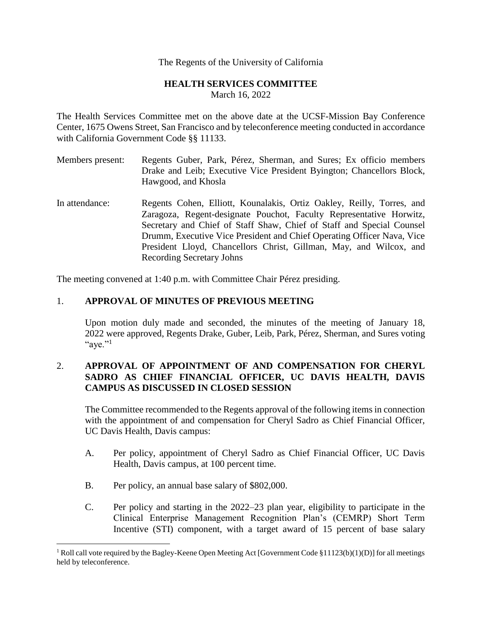## The Regents of the University of California

## **HEALTH SERVICES COMMITTEE** March 16, 2022

The Health Services Committee met on the above date at the UCSF-Mission Bay Conference Center, 1675 Owens Street, San Francisco and by teleconference meeting conducted in accordance with California Government Code §§ 11133.

- Members present: Regents Guber, Park, Pérez, Sherman, and Sures; Ex officio members Drake and Leib; Executive Vice President Byington; Chancellors Block, Hawgood, and Khosla
- In attendance: Regents Cohen, Elliott, Kounalakis, Ortiz Oakley, Reilly, Torres, and Zaragoza, Regent-designate Pouchot, Faculty Representative Horwitz, Secretary and Chief of Staff Shaw, Chief of Staff and Special Counsel Drumm, Executive Vice President and Chief Operating Officer Nava, Vice President Lloyd, Chancellors Christ, Gillman, May, and Wilcox, and Recording Secretary Johns

The meeting convened at 1:40 p.m. with Committee Chair Pérez presiding.

## 1. **APPROVAL OF MINUTES OF PREVIOUS MEETING**

Upon motion duly made and seconded, the minutes of the meeting of January 18, 2022 were approved, Regents Drake, Guber, Leib, Park, Pérez, Sherman, and Sures voting "aye." $^{1}$ 

## 2. **APPROVAL OF APPOINTMENT OF AND COMPENSATION FOR CHERYL SADRO AS CHIEF FINANCIAL OFFICER, UC DAVIS HEALTH, DAVIS CAMPUS AS DISCUSSED IN CLOSED SESSION**

The Committee recommended to the Regents approval of the following items in connection with the appointment of and compensation for Cheryl Sadro as Chief Financial Officer, UC Davis Health, Davis campus:

- A. Per policy, appointment of Cheryl Sadro as Chief Financial Officer, UC Davis Health, Davis campus, at 100 percent time.
- B. Per policy, an annual base salary of \$802,000.
- C. Per policy and starting in the 2022–23 plan year, eligibility to participate in the Clinical Enterprise Management Recognition Plan's (CEMRP) Short Term Incentive (STI) component, with a target award of 15 percent of base salary

<sup>&</sup>lt;sup>1</sup> Roll call vote required by the Bagley-Keene Open Meeting Act [Government Code §11123(b)(1)(D)] for all meetings held by teleconference.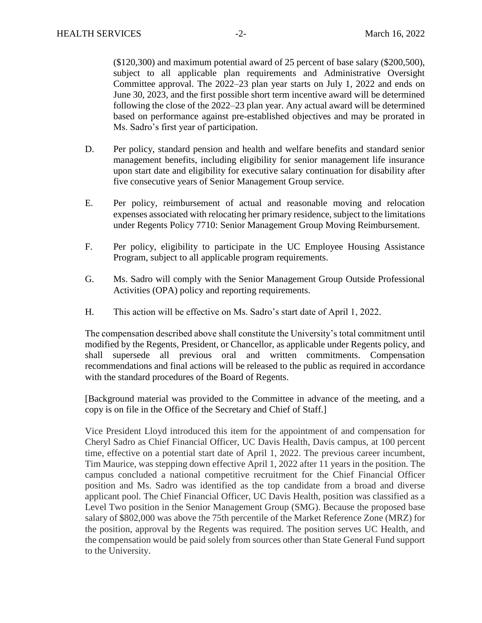(\$120,300) and maximum potential award of 25 percent of base salary (\$200,500), subject to all applicable plan requirements and Administrative Oversight Committee approval. The 2022–23 plan year starts on July 1, 2022 and ends on June 30, 2023, and the first possible short term incentive award will be determined following the close of the 2022–23 plan year. Any actual award will be determined based on performance against pre-established objectives and may be prorated in Ms. Sadro's first year of participation.

- D. Per policy, standard pension and health and welfare benefits and standard senior management benefits, including eligibility for senior management life insurance upon start date and eligibility for executive salary continuation for disability after five consecutive years of Senior Management Group service.
- E. Per policy, reimbursement of actual and reasonable moving and relocation expenses associated with relocating her primary residence, subject to the limitations under Regents Policy 7710: Senior Management Group Moving Reimbursement.
- F. Per policy, eligibility to participate in the UC Employee Housing Assistance Program, subject to all applicable program requirements.
- G. Ms. Sadro will comply with the Senior Management Group Outside Professional Activities (OPA) policy and reporting requirements.
- H. This action will be effective on Ms. Sadro's start date of April 1, 2022.

The compensation described above shall constitute the University's total commitment until modified by the Regents, President, or Chancellor, as applicable under Regents policy, and shall supersede all previous oral and written commitments. Compensation recommendations and final actions will be released to the public as required in accordance with the standard procedures of the Board of Regents.

[Background material was provided to the Committee in advance of the meeting, and a copy is on file in the Office of the Secretary and Chief of Staff.]

Vice President Lloyd introduced this item for the appointment of and compensation for Cheryl Sadro as Chief Financial Officer, UC Davis Health, Davis campus, at 100 percent time, effective on a potential start date of April 1, 2022. The previous career incumbent, Tim Maurice, was stepping down effective April 1, 2022 after 11 years in the position. The campus concluded a national competitive recruitment for the Chief Financial Officer position and Ms. Sadro was identified as the top candidate from a broad and diverse applicant pool. The Chief Financial Officer, UC Davis Health, position was classified as a Level Two position in the Senior Management Group (SMG). Because the proposed base salary of \$802,000 was above the 75th percentile of the Market Reference Zone (MRZ) for the position, approval by the Regents was required. The position serves UC Health, and the compensation would be paid solely from sources other than State General Fund support to the University.